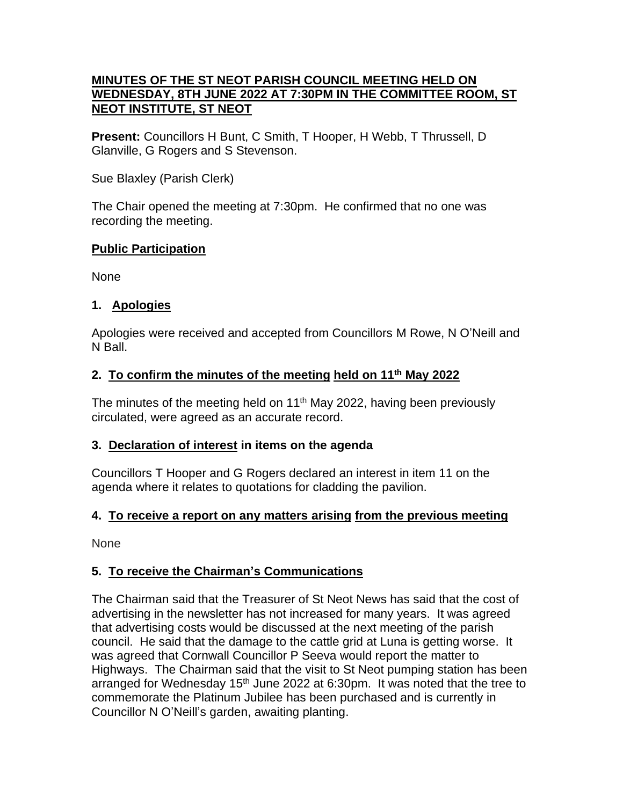### **MINUTES OF THE ST NEOT PARISH COUNCIL MEETING HELD ON WEDNESDAY, 8TH JUNE 2022 AT 7:30PM IN THE COMMITTEE ROOM, ST NEOT INSTITUTE, ST NEOT**

**Present:** Councillors H Bunt, C Smith, T Hooper, H Webb, T Thrussell, D Glanville, G Rogers and S Stevenson.

Sue Blaxley (Parish Clerk)

The Chair opened the meeting at 7:30pm. He confirmed that no one was recording the meeting.

## **Public Participation**

None

## **1. Apologies**

Apologies were received and accepted from Councillors M Rowe, N O'Neill and N Ball.

## **2. To confirm the minutes of the meeting held on 11th May 2022**

The minutes of the meeting held on 11<sup>th</sup> May 2022, having been previously circulated, were agreed as an accurate record.

#### **3. Declaration of interest in items on the agenda**

Councillors T Hooper and G Rogers declared an interest in item 11 on the agenda where it relates to quotations for cladding the pavilion.

# **4. To receive a report on any matters arising from the previous meeting**

None

# **5. To receive the Chairman's Communications**

The Chairman said that the Treasurer of St Neot News has said that the cost of advertising in the newsletter has not increased for many years. It was agreed that advertising costs would be discussed at the next meeting of the parish council. He said that the damage to the cattle grid at Luna is getting worse. It was agreed that Cornwall Councillor P Seeva would report the matter to Highways. The Chairman said that the visit to St Neot pumping station has been arranged for Wednesday 15<sup>th</sup> June 2022 at 6:30pm. It was noted that the tree to commemorate the Platinum Jubilee has been purchased and is currently in Councillor N O'Neill's garden, awaiting planting.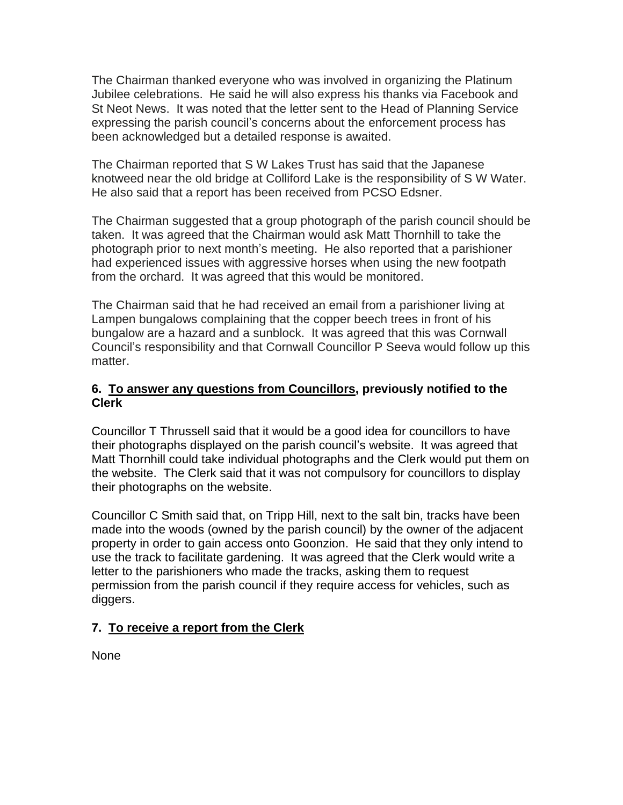The Chairman thanked everyone who was involved in organizing the Platinum Jubilee celebrations. He said he will also express his thanks via Facebook and St Neot News. It was noted that the letter sent to the Head of Planning Service expressing the parish council's concerns about the enforcement process has been acknowledged but a detailed response is awaited.

The Chairman reported that S W Lakes Trust has said that the Japanese knotweed near the old bridge at Colliford Lake is the responsibility of S W Water. He also said that a report has been received from PCSO Edsner.

The Chairman suggested that a group photograph of the parish council should be taken. It was agreed that the Chairman would ask Matt Thornhill to take the photograph prior to next month's meeting. He also reported that a parishioner had experienced issues with aggressive horses when using the new footpath from the orchard. It was agreed that this would be monitored.

The Chairman said that he had received an email from a parishioner living at Lampen bungalows complaining that the copper beech trees in front of his bungalow are a hazard and a sunblock. It was agreed that this was Cornwall Council's responsibility and that Cornwall Councillor P Seeva would follow up this matter.

## **6. To answer any questions from Councillors, previously notified to the Clerk**

Councillor T Thrussell said that it would be a good idea for councillors to have their photographs displayed on the parish council's website. It was agreed that Matt Thornhill could take individual photographs and the Clerk would put them on the website. The Clerk said that it was not compulsory for councillors to display their photographs on the website.

Councillor C Smith said that, on Tripp Hill, next to the salt bin, tracks have been made into the woods (owned by the parish council) by the owner of the adjacent property in order to gain access onto Goonzion. He said that they only intend to use the track to facilitate gardening. It was agreed that the Clerk would write a letter to the parishioners who made the tracks, asking them to request permission from the parish council if they require access for vehicles, such as diggers.

# **7. To receive a report from the Clerk**

None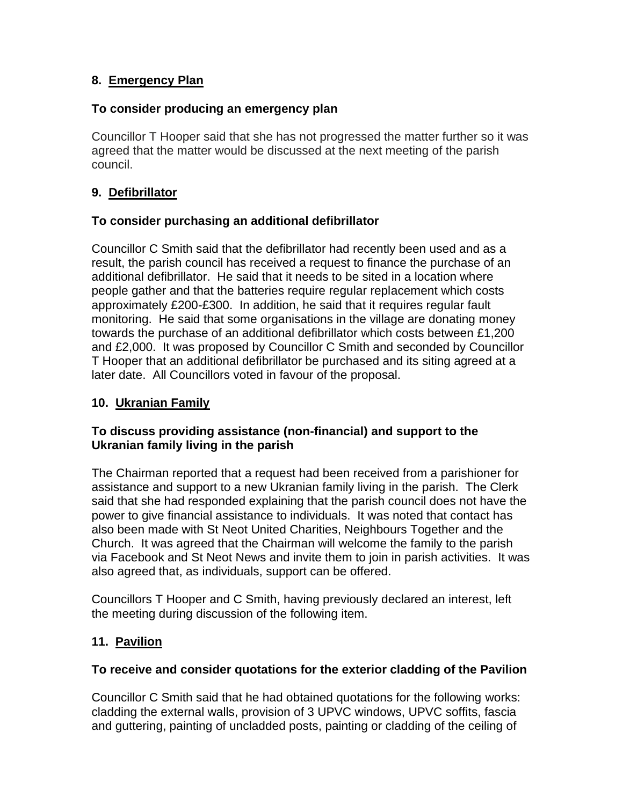# **8. Emergency Plan**

## **To consider producing an emergency plan**

Councillor T Hooper said that she has not progressed the matter further so it was agreed that the matter would be discussed at the next meeting of the parish council.

# **9. Defibrillator**

## **To consider purchasing an additional defibrillator**

Councillor C Smith said that the defibrillator had recently been used and as a result, the parish council has received a request to finance the purchase of an additional defibrillator. He said that it needs to be sited in a location where people gather and that the batteries require regular replacement which costs approximately £200-£300. In addition, he said that it requires regular fault monitoring. He said that some organisations in the village are donating money towards the purchase of an additional defibrillator which costs between £1,200 and £2,000. It was proposed by Councillor C Smith and seconded by Councillor T Hooper that an additional defibrillator be purchased and its siting agreed at a later date. All Councillors voted in favour of the proposal.

## **10. Ukranian Family**

## **To discuss providing assistance (non-financial) and support to the Ukranian family living in the parish**

The Chairman reported that a request had been received from a parishioner for assistance and support to a new Ukranian family living in the parish. The Clerk said that she had responded explaining that the parish council does not have the power to give financial assistance to individuals. It was noted that contact has also been made with St Neot United Charities, Neighbours Together and the Church. It was agreed that the Chairman will welcome the family to the parish via Facebook and St Neot News and invite them to join in parish activities. It was also agreed that, as individuals, support can be offered.

Councillors T Hooper and C Smith, having previously declared an interest, left the meeting during discussion of the following item.

# **11. Pavilion**

# **To receive and consider quotations for the exterior cladding of the Pavilion**

Councillor C Smith said that he had obtained quotations for the following works: cladding the external walls, provision of 3 UPVC windows, UPVC soffits, fascia and guttering, painting of uncladded posts, painting or cladding of the ceiling of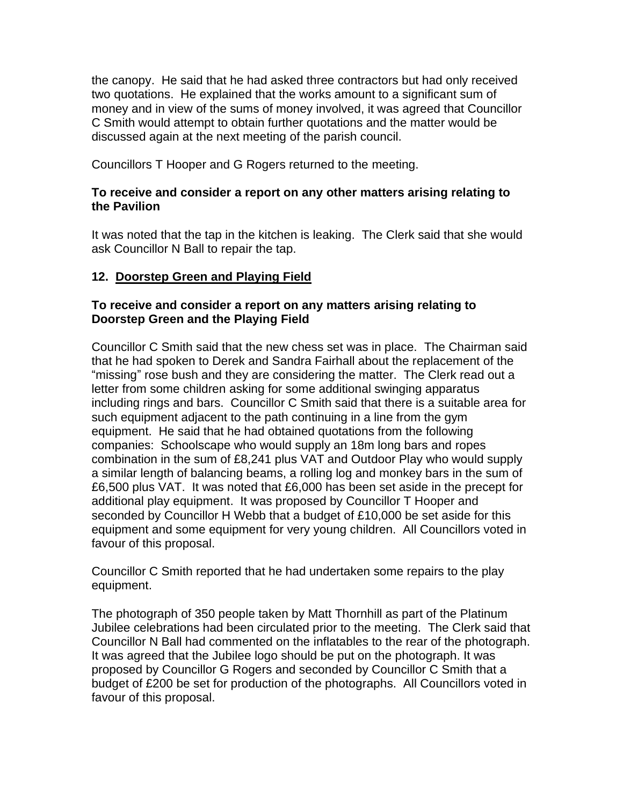the canopy. He said that he had asked three contractors but had only received two quotations. He explained that the works amount to a significant sum of money and in view of the sums of money involved, it was agreed that Councillor C Smith would attempt to obtain further quotations and the matter would be discussed again at the next meeting of the parish council.

Councillors T Hooper and G Rogers returned to the meeting.

## **To receive and consider a report on any other matters arising relating to the Pavilion**

It was noted that the tap in the kitchen is leaking. The Clerk said that she would ask Councillor N Ball to repair the tap.

# **12. Doorstep Green and Playing Field**

### **To receive and consider a report on any matters arising relating to Doorstep Green and the Playing Field**

Councillor C Smith said that the new chess set was in place. The Chairman said that he had spoken to Derek and Sandra Fairhall about the replacement of the "missing" rose bush and they are considering the matter. The Clerk read out a letter from some children asking for some additional swinging apparatus including rings and bars. Councillor C Smith said that there is a suitable area for such equipment adjacent to the path continuing in a line from the gym equipment. He said that he had obtained quotations from the following companies: Schoolscape who would supply an 18m long bars and ropes combination in the sum of £8,241 plus VAT and Outdoor Play who would supply a similar length of balancing beams, a rolling log and monkey bars in the sum of £6,500 plus VAT. It was noted that £6,000 has been set aside in the precept for additional play equipment. It was proposed by Councillor T Hooper and seconded by Councillor H Webb that a budget of £10,000 be set aside for this equipment and some equipment for very young children. All Councillors voted in favour of this proposal.

Councillor C Smith reported that he had undertaken some repairs to the play equipment.

The photograph of 350 people taken by Matt Thornhill as part of the Platinum Jubilee celebrations had been circulated prior to the meeting. The Clerk said that Councillor N Ball had commented on the inflatables to the rear of the photograph. It was agreed that the Jubilee logo should be put on the photograph. It was proposed by Councillor G Rogers and seconded by Councillor C Smith that a budget of £200 be set for production of the photographs. All Councillors voted in favour of this proposal.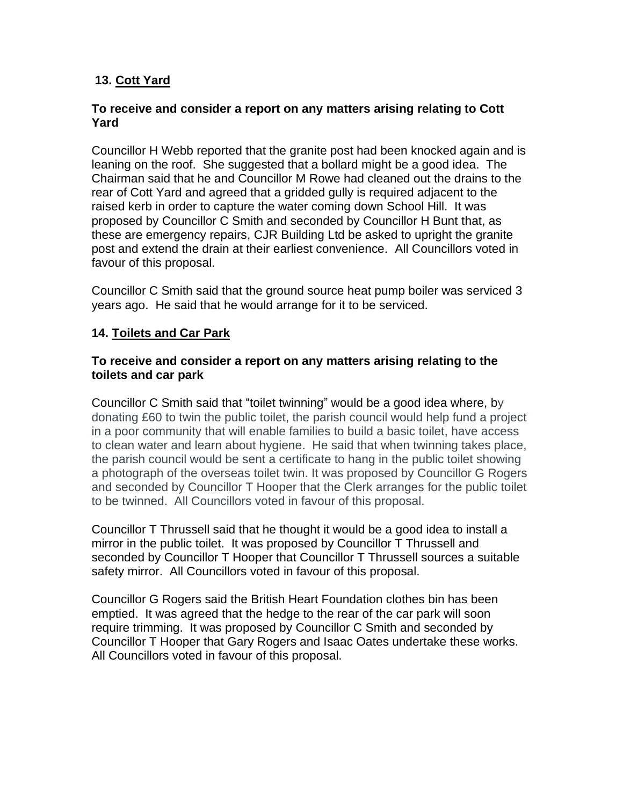# **13. Cott Yard**

#### **To receive and consider a report on any matters arising relating to Cott Yard**

Councillor H Webb reported that the granite post had been knocked again and is leaning on the roof. She suggested that a bollard might be a good idea. The Chairman said that he and Councillor M Rowe had cleaned out the drains to the rear of Cott Yard and agreed that a gridded gully is required adjacent to the raised kerb in order to capture the water coming down School Hill. It was proposed by Councillor C Smith and seconded by Councillor H Bunt that, as these are emergency repairs, CJR Building Ltd be asked to upright the granite post and extend the drain at their earliest convenience. All Councillors voted in favour of this proposal.

Councillor C Smith said that the ground source heat pump boiler was serviced 3 years ago. He said that he would arrange for it to be serviced.

#### **14. Toilets and Car Park**

#### **To receive and consider a report on any matters arising relating to the toilets and car park**

Councillor C Smith said that "toilet twinning" would be a good idea where, by donating £60 to twin the public toilet, the parish council would help fund a project in a poor community that will enable families to build a basic toilet, have access to clean water and learn about hygiene. He said that when twinning takes place, the parish council would be sent a certificate to hang in the public toilet showing a photograph of the overseas toilet twin. It was proposed by Councillor G Rogers and seconded by Councillor T Hooper that the Clerk arranges for the public toilet to be twinned. All Councillors voted in favour of this proposal.

Councillor T Thrussell said that he thought it would be a good idea to install a mirror in the public toilet. It was proposed by Councillor T Thrussell and seconded by Councillor T Hooper that Councillor T Thrussell sources a suitable safety mirror. All Councillors voted in favour of this proposal.

Councillor G Rogers said the British Heart Foundation clothes bin has been emptied. It was agreed that the hedge to the rear of the car park will soon require trimming. It was proposed by Councillor C Smith and seconded by Councillor T Hooper that Gary Rogers and Isaac Oates undertake these works. All Councillors voted in favour of this proposal.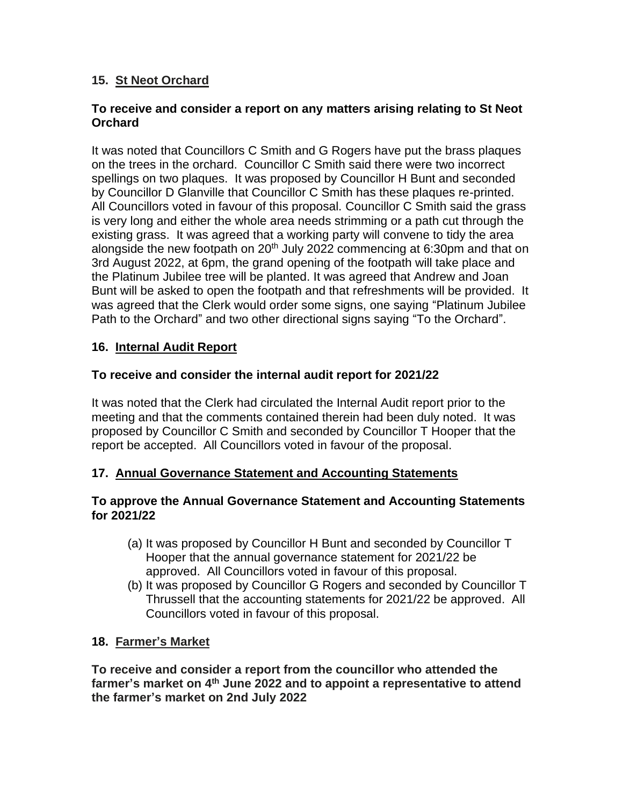# **15. St Neot Orchard**

## **To receive and consider a report on any matters arising relating to St Neot Orchard**

It was noted that Councillors C Smith and G Rogers have put the brass plaques on the trees in the orchard. Councillor C Smith said there were two incorrect spellings on two plaques. It was proposed by Councillor H Bunt and seconded by Councillor D Glanville that Councillor C Smith has these plaques re-printed. All Councillors voted in favour of this proposal. Councillor C Smith said the grass is very long and either the whole area needs strimming or a path cut through the existing grass. It was agreed that a working party will convene to tidy the area alongside the new footpath on  $20<sup>th</sup>$  July 2022 commencing at 6:30pm and that on 3rd August 2022, at 6pm, the grand opening of the footpath will take place and the Platinum Jubilee tree will be planted. It was agreed that Andrew and Joan Bunt will be asked to open the footpath and that refreshments will be provided. It was agreed that the Clerk would order some signs, one saying "Platinum Jubilee Path to the Orchard" and two other directional signs saying "To the Orchard".

# **16. Internal Audit Report**

# **To receive and consider the internal audit report for 2021/22**

It was noted that the Clerk had circulated the Internal Audit report prior to the meeting and that the comments contained therein had been duly noted. It was proposed by Councillor C Smith and seconded by Councillor T Hooper that the report be accepted. All Councillors voted in favour of the proposal.

# **17. Annual Governance Statement and Accounting Statements**

#### **To approve the Annual Governance Statement and Accounting Statements for 2021/22**

- (a) It was proposed by Councillor H Bunt and seconded by Councillor T Hooper that the annual governance statement for 2021/22 be approved. All Councillors voted in favour of this proposal.
- (b) It was proposed by Councillor G Rogers and seconded by Councillor T Thrussell that the accounting statements for 2021/22 be approved. All Councillors voted in favour of this proposal.
- **18. Farmer's Market**

**To receive and consider a report from the councillor who attended the farmer's market on 4 th June 2022 and to appoint a representative to attend the farmer's market on 2nd July 2022**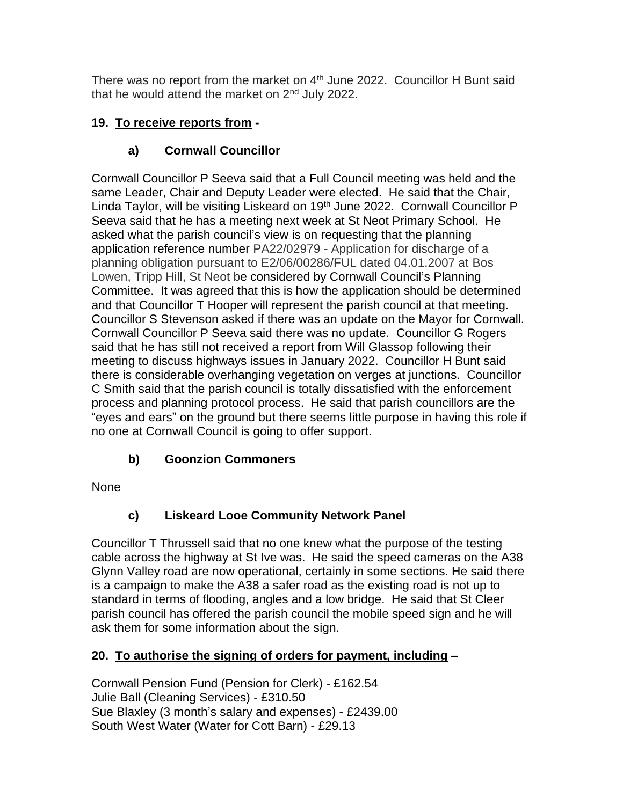There was no report from the market on  $4<sup>th</sup>$  June 2022. Councillor H Bunt said that he would attend the market on  $2<sup>nd</sup>$  July 2022.

# **19. To receive reports from -**

# **a) Cornwall Councillor**

Cornwall Councillor P Seeva said that a Full Council meeting was held and the same Leader, Chair and Deputy Leader were elected. He said that the Chair, Linda Taylor, will be visiting Liskeard on 19<sup>th</sup> June 2022. Cornwall Councillor P Seeva said that he has a meeting next week at St Neot Primary School. He asked what the parish council's view is on requesting that the planning application reference number PA22/02979 - Application for discharge of a planning obligation pursuant to E2/06/00286/FUL dated 04.01.2007 at Bos Lowen, Tripp Hill, St Neot be considered by Cornwall Council's Planning Committee. It was agreed that this is how the application should be determined and that Councillor T Hooper will represent the parish council at that meeting. Councillor S Stevenson asked if there was an update on the Mayor for Cornwall. Cornwall Councillor P Seeva said there was no update. Councillor G Rogers said that he has still not received a report from Will Glassop following their meeting to discuss highways issues in January 2022. Councillor H Bunt said there is considerable overhanging vegetation on verges at junctions. Councillor C Smith said that the parish council is totally dissatisfied with the enforcement process and planning protocol process. He said that parish councillors are the "eyes and ears" on the ground but there seems little purpose in having this role if no one at Cornwall Council is going to offer support.

# **b) Goonzion Commoners**

None

# **c) Liskeard Looe Community Network Panel**

Councillor T Thrussell said that no one knew what the purpose of the testing cable across the highway at St Ive was. He said the speed cameras on the A38 Glynn Valley road are now operational, certainly in some sections. He said there is a campaign to make the A38 a safer road as the existing road is not up to standard in terms of flooding, angles and a low bridge. He said that St Cleer parish council has offered the parish council the mobile speed sign and he will ask them for some information about the sign.

# **20. To authorise the signing of orders for payment, including –**

Cornwall Pension Fund (Pension for Clerk) - £162.54 Julie Ball (Cleaning Services) - £310.50 Sue Blaxley (3 month's salary and expenses) - £2439.00 South West Water (Water for Cott Barn) - £29.13